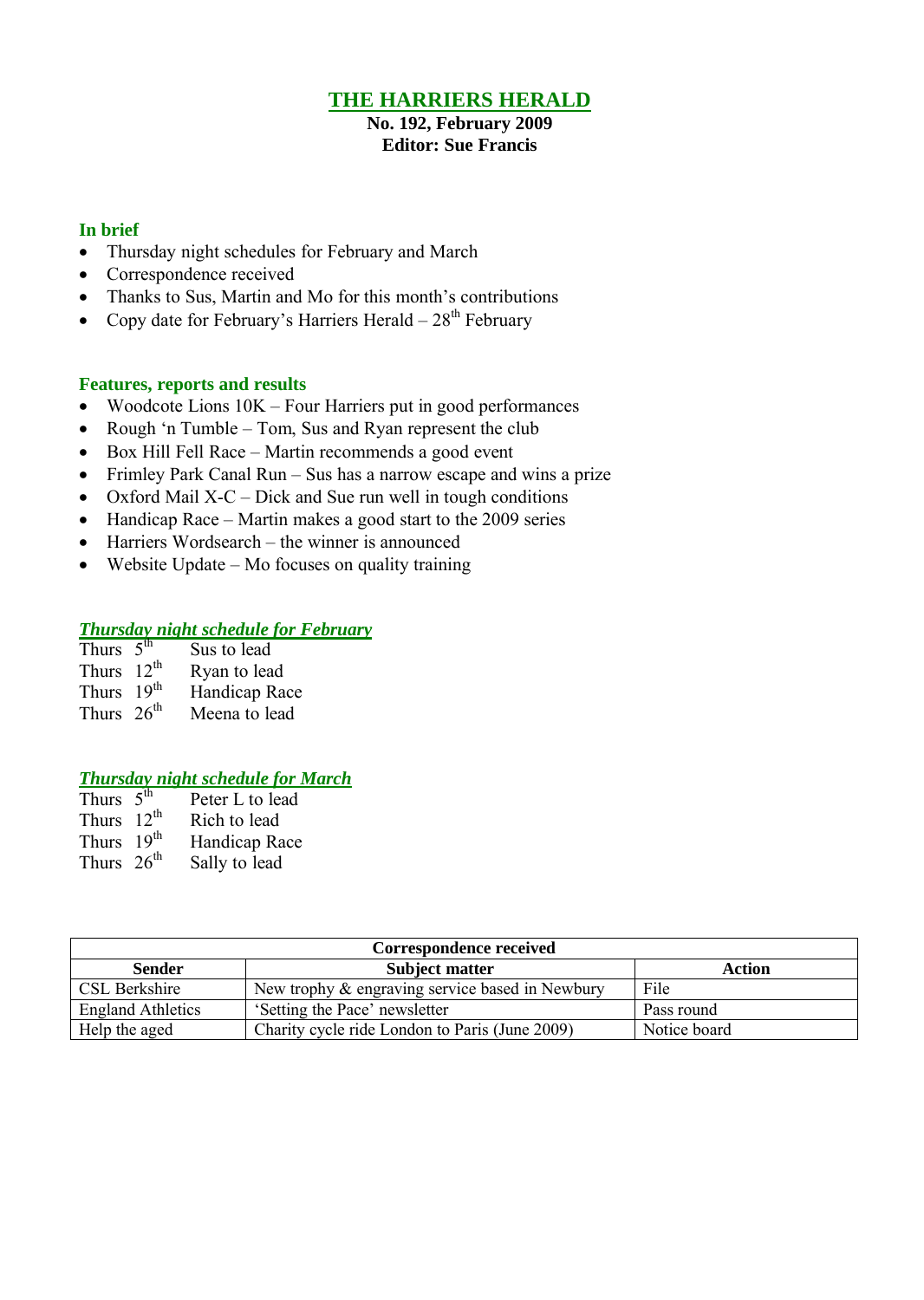# **THE HARRIERS HERALD**

**No. 192, February 2009 Editor: Sue Francis**

## **In brief**

- Thursday night schedules for February and March
- Correspondence received
- Thanks to Sus, Martin and Mo for this month's contributions
- Copy date for February's Harriers Herald  $28<sup>th</sup>$  February

## **Features, reports and results**

- Woodcote Lions 10K Four Harriers put in good performances
- Rough 'n Tumble Tom, Sus and Ryan represent the club
- Box Hill Fell Race Martin recommends a good event
- Frimley Park Canal Run Sus has a narrow escape and wins a prize
- Oxford Mail  $X-C$  Dick and Sue run well in tough conditions
- Handicap Race Martin makes a good start to the 2009 series
- Harriers Wordsearch the winner is announced
- $\bullet$  Website Update Mo focuses on quality training

## *Thursday night schedule for February*

| Thurs $5th$            | Sus to lead   |
|------------------------|---------------|
| Thurs $12th$           | Ryan to lead  |
| Thurs 19 <sup>th</sup> | Handicap Race |
| Thurs $26th$           | Meena to lead |

# *Thursday night schedule for March*

| Thurs $5th$            | Peter L to lead |
|------------------------|-----------------|
| Thurs $12^{th}$        | Rich to lead    |
| Thurs 19 <sup>th</sup> | Handicap Race   |
| Thurs $26th$           | Sally to lead   |

| <b>Correspondence received</b> |                                                 |              |  |  |  |  |
|--------------------------------|-------------------------------------------------|--------------|--|--|--|--|
| <b>Sender</b>                  | <b>Subject matter</b>                           | Action       |  |  |  |  |
| CSL Berkshire                  | New trophy & engraving service based in Newbury | File         |  |  |  |  |
| <b>England Athletics</b>       | 'Setting the Pace' newsletter                   | Pass round   |  |  |  |  |
| Help the aged                  | Charity cycle ride London to Paris (June 2009)  | Notice board |  |  |  |  |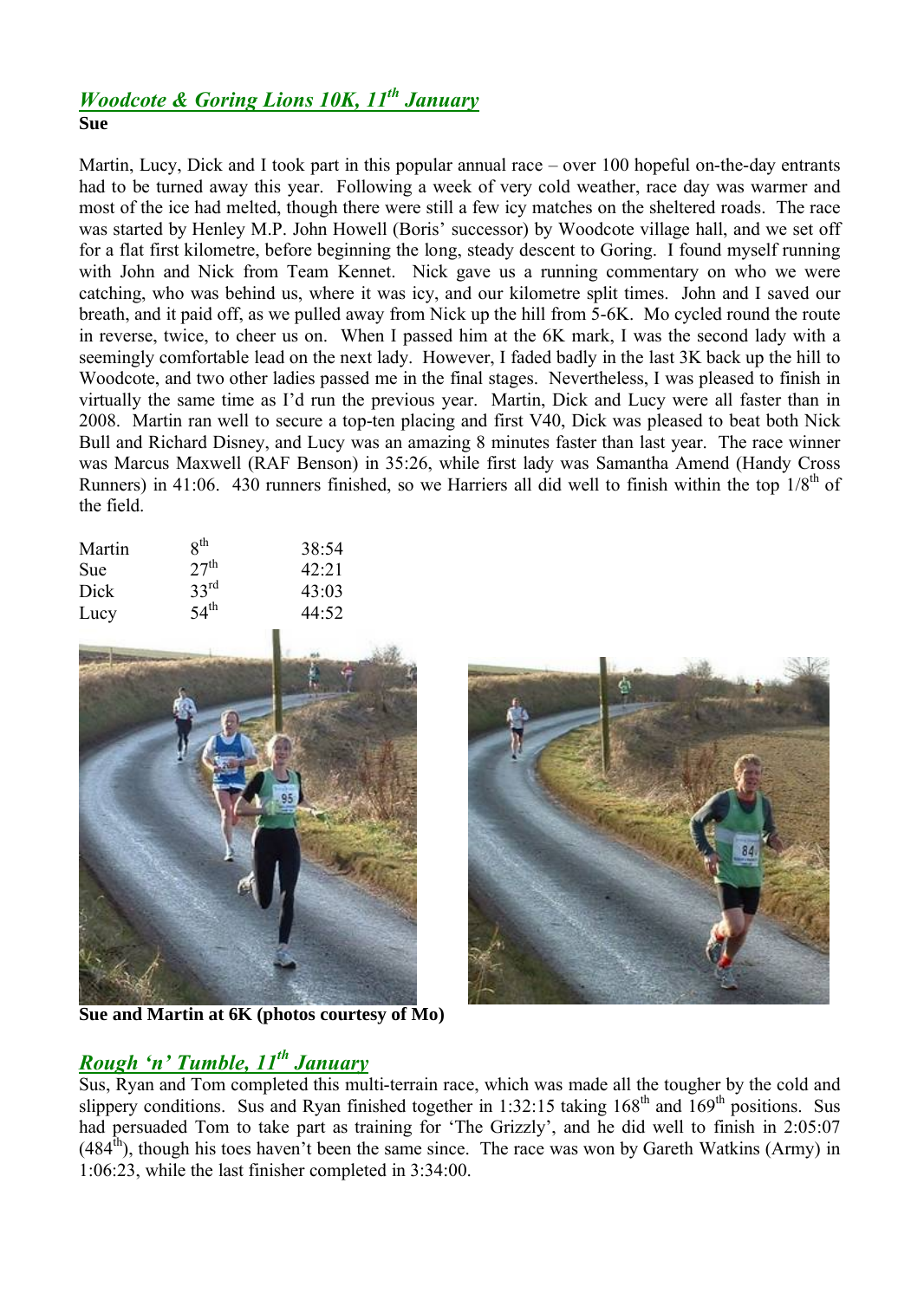# *Woodcote & Goring Lions 10K, 11th January* **Sue**

Martin, Lucy, Dick and I took part in this popular annual race – over 100 hopeful on-the-day entrants had to be turned away this year. Following a week of very cold weather, race day was warmer and most of the ice had melted, though there were still a few icy matches on the sheltered roads. The race was started by Henley M.P. John Howell (Boris' successor) by Woodcote village hall, and we set off for a flat first kilometre, before beginning the long, steady descent to Goring. I found myself running with John and Nick from Team Kennet. Nick gave us a running commentary on who we were catching, who was behind us, where it was icy, and our kilometre split times. John and I saved our breath, and it paid off, as we pulled away from Nick up the hill from 5-6K. Mo cycled round the route in reverse, twice, to cheer us on. When I passed him at the 6K mark, I was the second lady with a seemingly comfortable lead on the next lady. However, I faded badly in the last 3K back up the hill to Woodcote, and two other ladies passed me in the final stages. Nevertheless, I was pleased to finish in virtually the same time as I'd run the previous year. Martin, Dick and Lucy were all faster than in 2008. Martin ran well to secure a top-ten placing and first V40, Dick was pleased to beat both Nick Bull and Richard Disney, and Lucy was an amazing 8 minutes faster than last year. The race winner was Marcus Maxwell (RAF Benson) in 35:26, while first lady was Samantha Amend (Handy Cross Runners) in 41:06. 430 runners finished, so we Harriers all did well to finish within the top  $1/8<sup>th</sup>$  of the field.

| Martin | $R^{th}$         | 38:54 |
|--------|------------------|-------|
| Sue    | 27 <sup>th</sup> | 42:21 |
| Dick   | $33^{rd}$        | 43:03 |
| Lucy   | 54 <sup>th</sup> | 44:52 |
|        |                  |       |



**Sue and Martin at 6K (photos courtesy of Mo)**



# *Rough 'n' Tumble, 11th January*

Sus, Ryan and Tom completed this multi-terrain race, which was made all the tougher by the cold and slippery conditions. Sus and Ryan finished together in 1:32:15 taking  $168<sup>th</sup>$  and  $169<sup>th</sup>$  positions. Sus had persuaded Tom to take part as training for 'The Grizzly', and he did well to finish in 2:05:07  $(484<sup>th</sup>)$ , though his toes haven't been the same since. The race was won by Gareth Watkins (Army) in 1:06:23, while the last finisher completed in 3:34:00.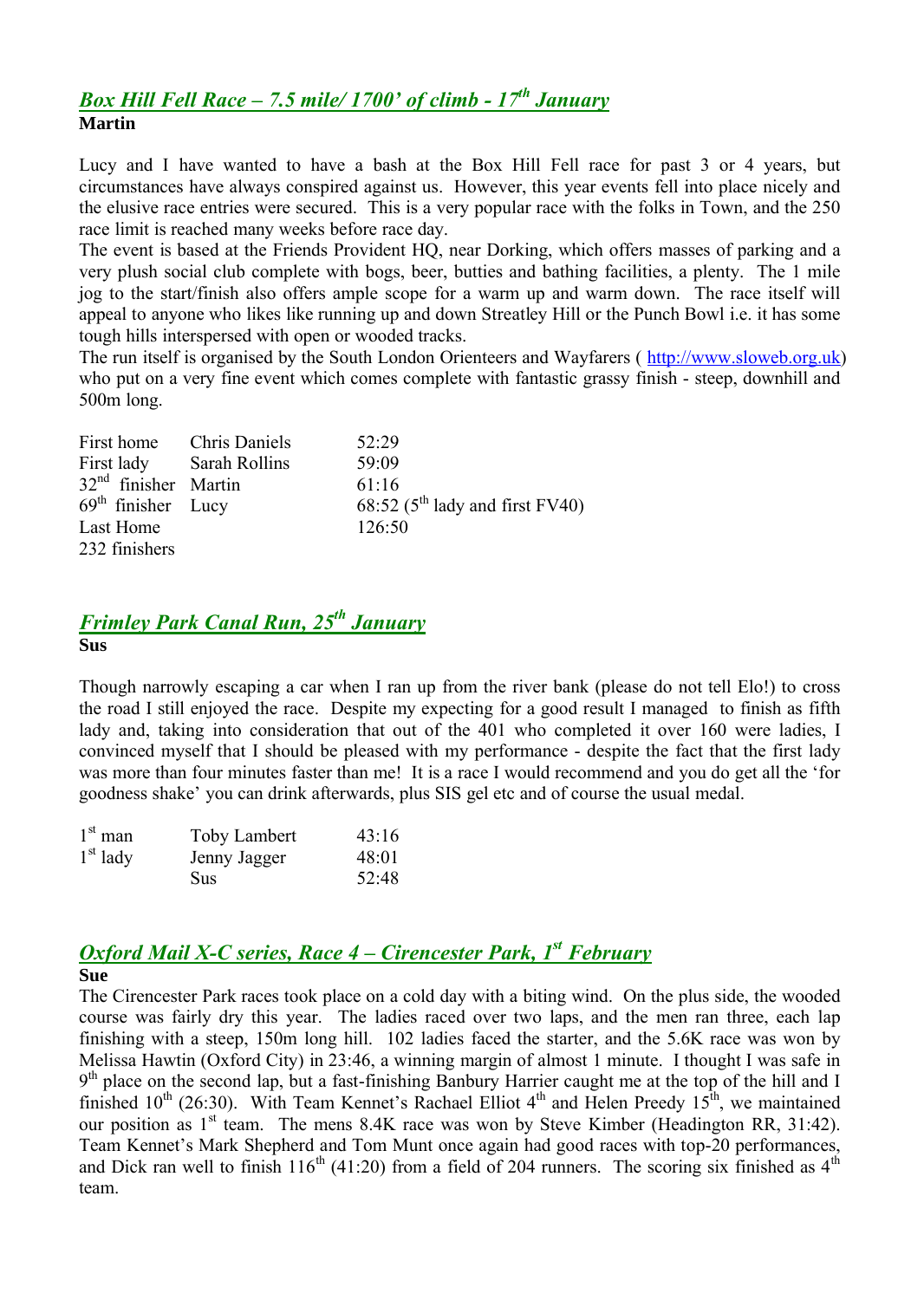# *Box Hill Fell Race – 7.5 mile/ 1700' of climb - 17th January* **Martin**

Lucy and I have wanted to have a bash at the Box Hill Fell race for past 3 or 4 years, but circumstances have always conspired against us. However, this year events fell into place nicely and the elusive race entries were secured. This is a very popular race with the folks in Town, and the 250 race limit is reached many weeks before race day.

The event is based at the Friends Provident HQ, near Dorking, which offers masses of parking and a very plush social club complete with bogs, beer, butties and bathing facilities, a plenty. The 1 mile jog to the start/finish also offers ample scope for a warm up and warm down. The race itself will appeal to anyone who likes like running up and down Streatley Hill or the Punch Bowl i.e. it has some tough hills interspersed with open or wooded tracks.

The run itself is organised by the South London Orienteers and Wayfarers ( http://www.sloweb.org.uk) who put on a very fine event which comes complete with fantastic grassy finish - steep, downhill and 500m long.

| First home Chris Daniels | 52.29                                        |
|--------------------------|----------------------------------------------|
| First lady Sarah Rollins | 59:09                                        |
| $32nd$ finisher Martin   | 61:16                                        |
| $69th$ finisher Lucy     | 68:52 ( $5^{\text{th}}$ lady and first FV40) |
| Last Home                | 126:50                                       |
| 232 finishers            |                                              |

# *Frimley Park Canal Run, 25th January* **Sus**

Though narrowly escaping a car when I ran up from the river bank (please do not tell Elo!) to cross the road I still enjoyed the race. Despite my expecting for a good result I managed to finish as fifth lady and, taking into consideration that out of the 401 who completed it over 160 were ladies, I convinced myself that I should be pleased with my performance - despite the fact that the first lady was more than four minutes faster than me! It is a race I would recommend and you do get all the 'for goodness shake' you can drink afterwards, plus SIS gel etc and of course the usual medal.

| $1st$ man  | Toby Lambert | 43:16 |
|------------|--------------|-------|
| $1st$ lady | Jenny Jagger | 48:01 |
|            | <b>Sus</b>   | 52:48 |

# *Oxford Mail X-C series, Race 4 – Cirencester Park, 1 st February*

# **Sue**

The Cirencester Park races took place on a cold day with a biting wind. On the plus side, the wooded course was fairly dry this year. The ladies raced over two laps, and the men ran three, each lap finishing with a steep, 150m long hill. 102 ladies faced the starter, and the 5.6K race was won by Melissa Hawtin (Oxford City) in 23:46, a winning margin of almost 1 minute. I thought I was safe in 9<sup>th</sup> place on the second lap, but a fast-finishing Banbury Harrier caught me at the top of the hill and I finished  $10^{th}$  (26:30). With Team Kennet's Rachael Elliot  $4^{th}$  and Helen Preedy  $15^{th}$ , we maintained our position as  $1<sup>st</sup>$  team. The mens 8.4K race was won by Steve Kimber (Headington RR, 31:42). Team Kennet's Mark Shepherd and Tom Munt once again had good races with top-20 performances, and Dick ran well to finish  $116^{th}$  (41:20) from a field of 204 runners. The scoring six finished as  $4^{th}$ team.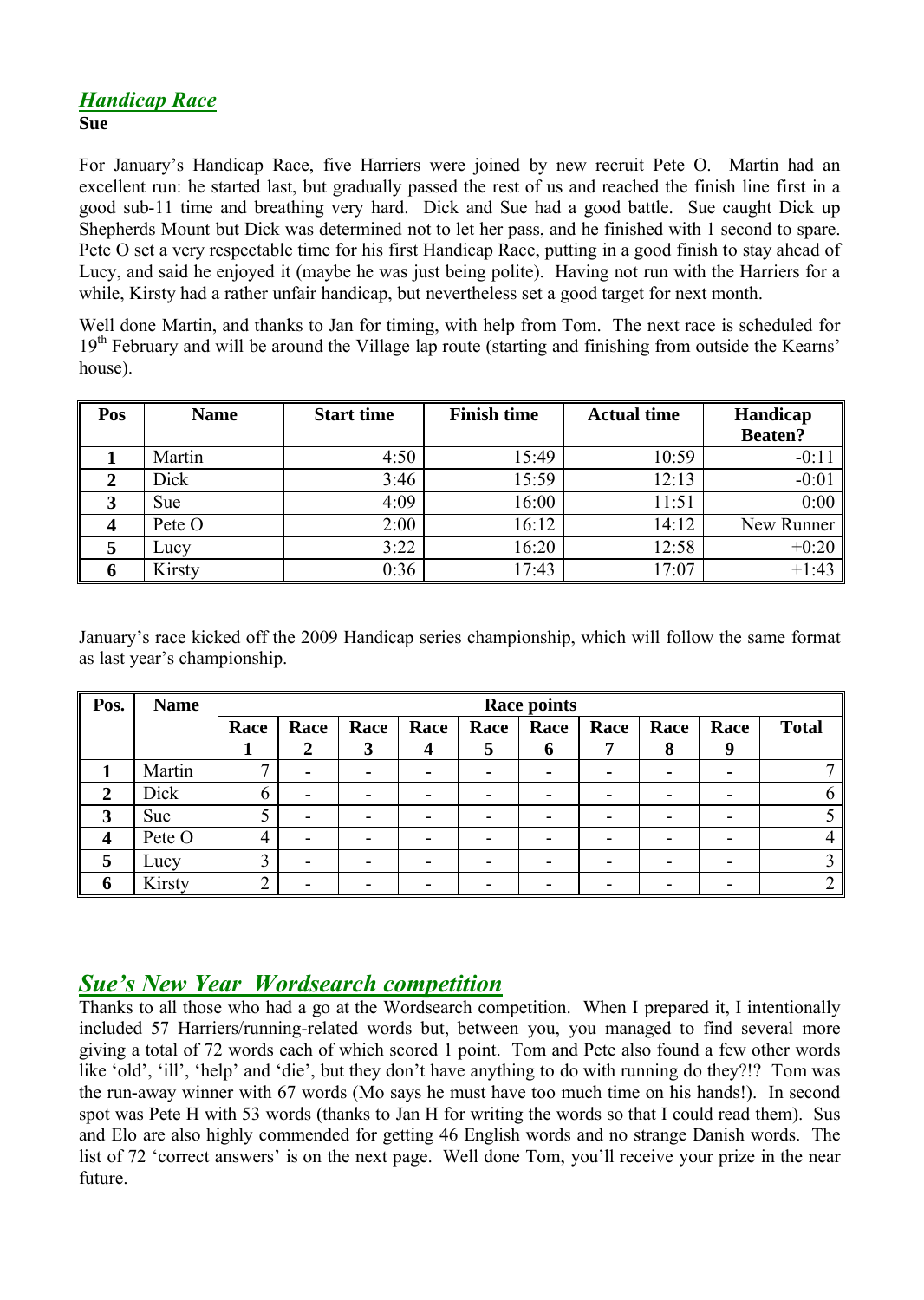# *Handicap Race* **Sue**

For January's Handicap Race, five Harriers were joined by new recruit Pete O. Martin had an excellent run: he started last, but gradually passed the rest of us and reached the finish line first in a good sub-11 time and breathing very hard. Dick and Sue had a good battle. Sue caught Dick up Shepherds Mount but Dick was determined not to let her pass, and he finished with 1 second to spare. Pete O set a very respectable time for his first Handicap Race, putting in a good finish to stay ahead of Lucy, and said he enjoyed it (maybe he was just being polite). Having not run with the Harriers for a while, Kirsty had a rather unfair handicap, but nevertheless set a good target for next month.

Well done Martin, and thanks to Jan for timing, with help from Tom. The next race is scheduled for  $19<sup>th</sup>$  February and will be around the Village lap route (starting and finishing from outside the Kearns' house).

| Pos | <b>Name</b> | <b>Start time</b> | <b>Finish time</b> | <b>Actual time</b> | Handicap       |  |
|-----|-------------|-------------------|--------------------|--------------------|----------------|--|
|     |             |                   |                    |                    | <b>Beaten?</b> |  |
|     | Martin      | 4:50              | 15:49              | 10:59              | $-0:11$        |  |
|     | Dick        | 3:46              | 15:59              | 12:13              | $-0:01$        |  |
|     | <b>Sue</b>  | 4:09              | 16:00              | 11:51              | 0:00           |  |
|     | Pete O      | 2:00              | 16:12              | 14:12              | New Runner     |  |
|     | Lucy        | 3:22              | 16:20              | 12:58              | $+0:20$        |  |
|     | Kirsty      | 0:36              | 17:43              | 17:07              | $+1:43$        |  |

January's race kicked off the 2009 Handicap series championship, which will follow the same format as last year's championship.

| Pos. | <b>Name</b> | <b>Race points</b> |                          |      |      |              |             |      |      |      |              |
|------|-------------|--------------------|--------------------------|------|------|--------------|-------------|------|------|------|--------------|
|      |             | Race               | Race                     | Race | Race | Race         | Race        | Race | Race | Race | <b>Total</b> |
|      |             |                    | 2                        | 3    |      | $\mathbf{D}$ | $\mathbf b$ |      | 8    | 9    |              |
|      | Martin      |                    | $\blacksquare$           |      |      |              |             |      |      |      |              |
| 2    | Dick        | 6                  | $\blacksquare$           |      |      |              |             |      |      |      |              |
| 3    | Sue         |                    | $\blacksquare$           |      |      |              |             |      |      |      |              |
| 4    | Pete O      | 4                  | $\blacksquare$           |      |      |              |             |      |      |      |              |
| 5    | Lucy        | 3                  | $\overline{\phantom{0}}$ |      |      |              |             |      |      |      |              |
| 6    | Kirsty      | ◠                  | $\overline{\phantom{0}}$ |      |      |              |             |      |      |      |              |

# *Sue's New Year Wordsearch competition*

Thanks to all those who had a go at the Wordsearch competition. When I prepared it, I intentionally included 57 Harriers/running-related words but, between you, you managed to find several more giving a total of 72 words each of which scored 1 point. Tom and Pete also found a few other words like 'old', 'ill', 'help' and 'die', but they don't have anything to do with running do they?!? Tom was the run-away winner with 67 words (Mo says he must have too much time on his hands!). In second spot was Pete H with 53 words (thanks to Jan H for writing the words so that I could read them). Sus and Elo are also highly commended for getting 46 English words and no strange Danish words. The list of 72 'correct answers' is on the next page. Well done Tom, you'll receive your prize in the near future.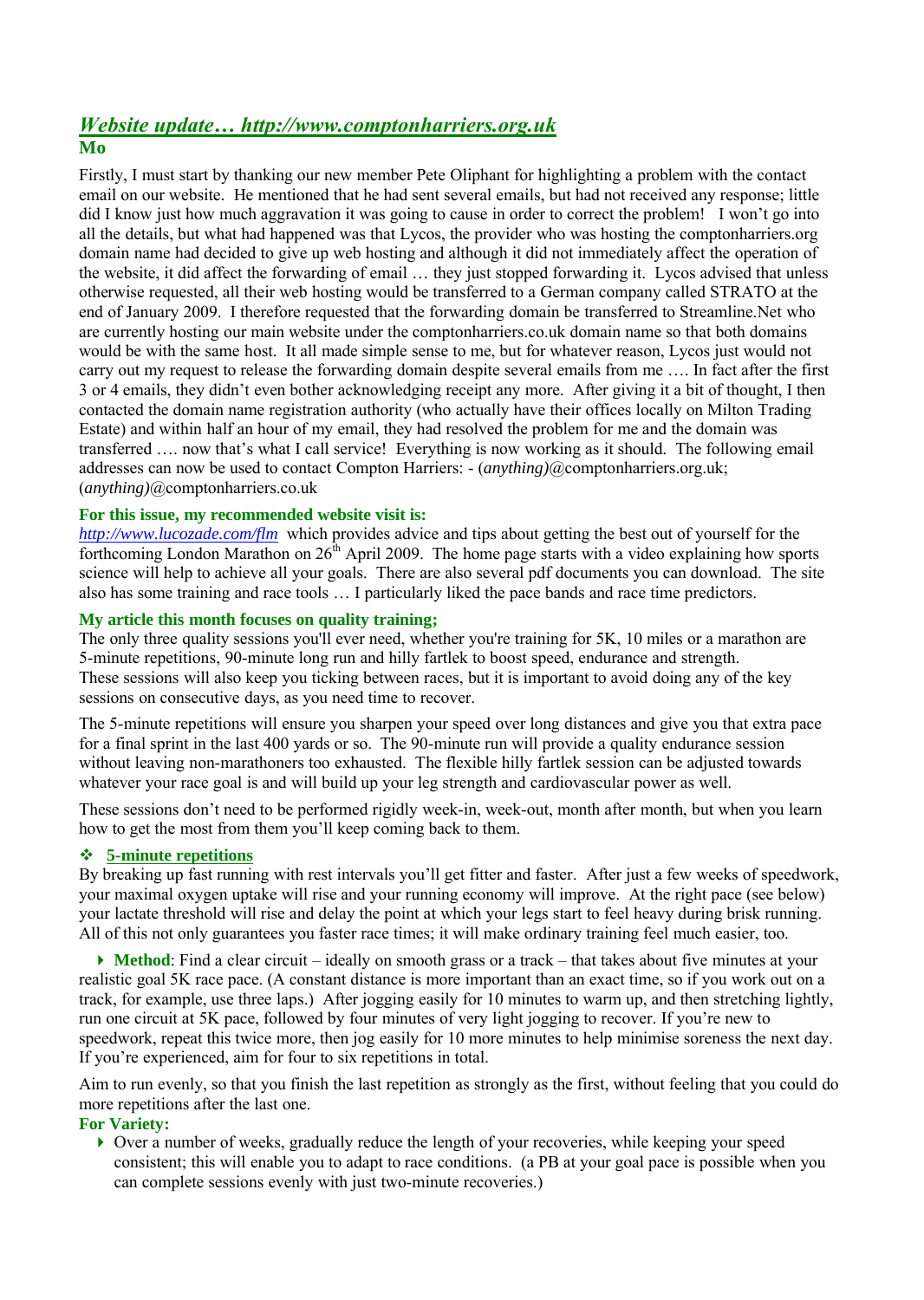# *Website update… http://www.comptonharriers.org.uk*

# **Mo**

Firstly, I must start by thanking our new member Pete Oliphant for highlighting a problem with the contact email on our website. He mentioned that he had sent several emails, but had not received any response; little did I know just how much aggravation it was going to cause in order to correct the problem! I won't go into all the details, but what had happened was that Lycos, the provider who was hosting the comptonharriers.org domain name had decided to give up web hosting and although it did not immediately affect the operation of the website, it did affect the forwarding of email … they just stopped forwarding it. Lycos advised that unless otherwise requested, all their web hosting would be transferred to a German company called STRATO at the end of January 2009. I therefore requested that the forwarding domain be transferred to Streamline.Net who are currently hosting our main website under the comptonharriers.co.uk domain name so that both domains would be with the same host. It all made simple sense to me, but for whatever reason, Lycos just would not carry out my request to release the forwarding domain despite several emails from me …. In fact after the first 3 or 4 emails, they didn't even bother acknowledging receipt any more. After giving it a bit of thought, I then contacted the domain name registration authority (who actually have their offices locally on Milton Trading Estate) and within half an hour of my email, they had resolved the problem for me and the domain was transferred …. now that's what I call service! Everything is now working as it should. The following email addresses can now be used to contact Compton Harriers: - (*anything)*@comptonharriers.org.uk; (*anything)*@comptonharriers.co.uk

## **For this issue, my recommended website visit is:**

*http://www.lucozade.com/flm* which provides advice and tips about getting the best out of yourself for the forthcoming London Marathon on  $26<sup>th</sup>$  April 2009. The home page starts with a video explaining how sports science will help to achieve all your goals. There are also several pdf documents you can download. The site also has some training and race tools … I particularly liked the pace bands and race time predictors.

## **My article this month focuses on quality training;**

The only three quality sessions you'll ever need, whether you're training for 5K, 10 miles or a marathon are 5-minute repetitions, 90-minute long run and hilly fartlek to boost speed, endurance and strength. These sessions will also keep you ticking between races, but it is important to avoid doing any of the key sessions on consecutive days, as you need time to recover.

The 5-minute repetitions will ensure you sharpen your speed over long distances and give you that extra pace for a final sprint in the last 400 yards or so. The 90-minute run will provide a quality endurance session without leaving non-marathoners too exhausted. The flexible hilly fartlek session can be adjusted towards whatever your race goal is and will build up your leg strength and cardiovascular power as well.

These sessions don't need to be performed rigidly week-in, week-out, month after month, but when you learn how to get the most from them you'll keep coming back to them.

### **5-minute repetitions**

By breaking up fast running with rest intervals you'll get fitter and faster. After just a few weeks of speedwork, your maximal oxygen uptake will rise and your running economy will improve. At the right pace (see below) your lactate threshold will rise and delay the point at which your legs start to feel heavy during brisk running. All of this not only guarantees you faster race times; it will make ordinary training feel much easier, too.

 **Method**: Find a clear circuit – ideally on smooth grass or a track – that takes about five minutes at your realistic goal 5K race pace. (A constant distance is more important than an exact time, so if you work out on a track, for example, use three laps.) After jogging easily for 10 minutes to warm up, and then stretching lightly, run one circuit at 5K pace, followed by four minutes of very light jogging to recover. If you're new to speedwork, repeat this twice more, then jog easily for 10 more minutes to help minimise soreness the next day. If you're experienced, aim for four to six repetitions in total.

Aim to run evenly, so that you finish the last repetition as strongly as the first, without feeling that you could do more repetitions after the last one.

### **For Variety:**

 $\triangleright$  Over a number of weeks, gradually reduce the length of your recoveries, while keeping your speed consistent; this will enable you to adapt to race conditions. (a PB at your goal pace is possible when you can complete sessions evenly with just two-minute recoveries.)